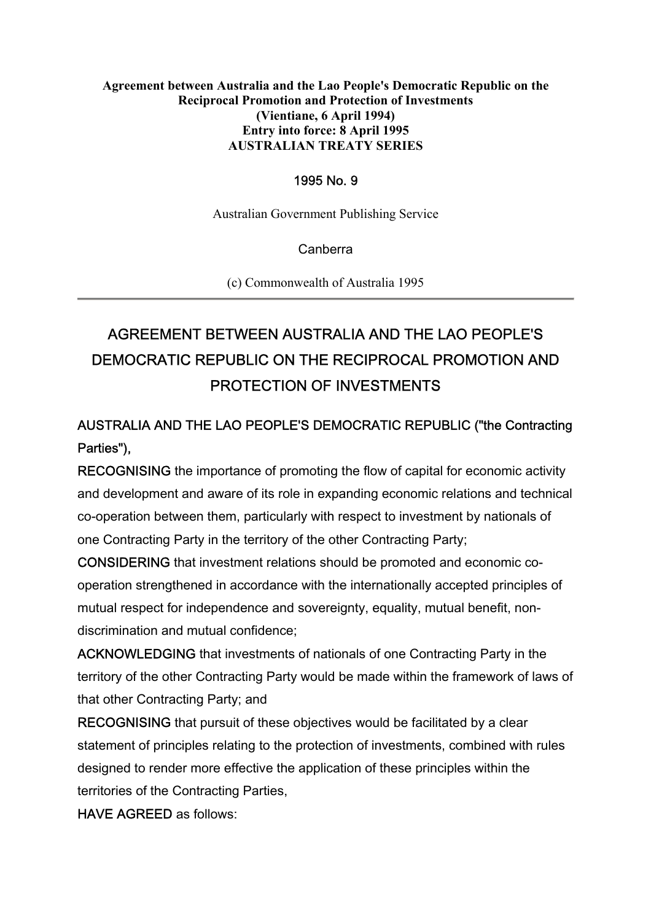#### **Agreement between Australia and the Lao People's Democratic Republic on the Reciprocal Promotion and Protection of Investments (Vientiane, 6 April 1994) Entry into force: 8 April 1995 AUSTRALIAN TREATY SERIES**

#### 1995 No. 9

Australian Government Publishing Service

Canberra

(c) Commonwealth of Australia 1995

# AGREEMENT BETWEEN AUSTRALIA AND THE LAO PEOPLE'S DEMOCRATIC REPUBLIC ON THE RECIPROCAL PROMOTION AND PROTECTION OF INVESTMENTS

# AUSTRALIA AND THE LAO PEOPLE'S DEMOCRATIC REPUBLIC ("the Contracting Parties"),

RECOGNISING the importance of promoting the flow of capital for economic activity and development and aware of its role in expanding economic relations and technical co-operation between them, particularly with respect to investment by nationals of one Contracting Party in the territory of the other Contracting Party;

CONSIDERING that investment relations should be promoted and economic cooperation strengthened in accordance with the internationally accepted principles of mutual respect for independence and sovereignty, equality, mutual benefit, nondiscrimination and mutual confidence;

ACKNOWLEDGING that investments of nationals of one Contracting Party in the territory of the other Contracting Party would be made within the framework of laws of that other Contracting Party; and

RECOGNISING that pursuit of these objectives would be facilitated by a clear statement of principles relating to the protection of investments, combined with rules designed to render more effective the application of these principles within the territories of the Contracting Parties,

HAVE AGREED as follows: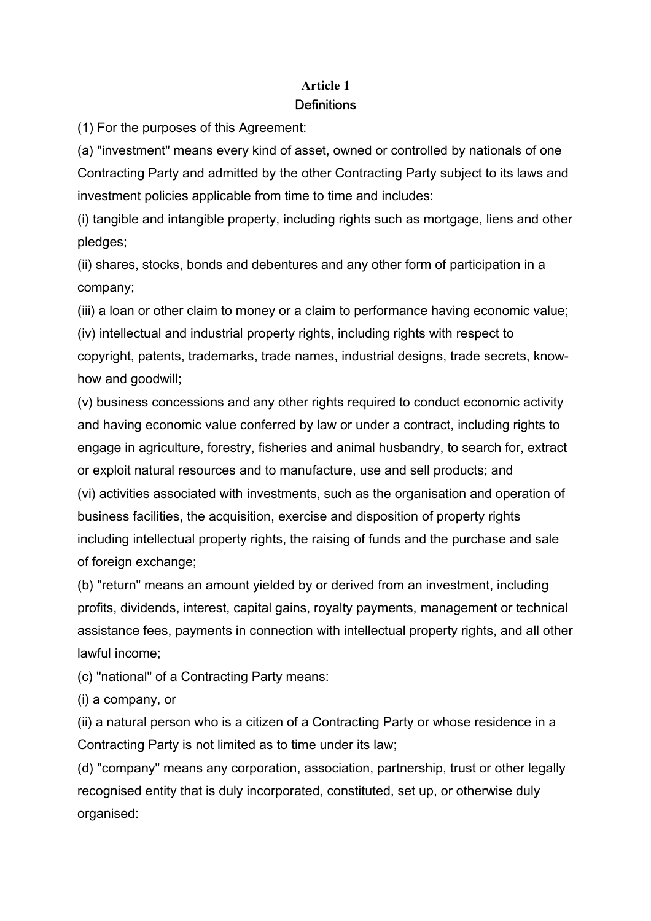# **Article 1 Definitions**

(1) For the purposes of this Agreement:

(a) "investment" means every kind of asset, owned or controlled by nationals of one Contracting Party and admitted by the other Contracting Party subject to its laws and investment policies applicable from time to time and includes:

(i) tangible and intangible property, including rights such as mortgage, liens and other pledges;

(ii) shares, stocks, bonds and debentures and any other form of participation in a company;

(iii) a loan or other claim to money or a claim to performance having economic value;

(iv) intellectual and industrial property rights, including rights with respect to copyright, patents, trademarks, trade names, industrial designs, trade secrets, knowhow and goodwill;

(v) business concessions and any other rights required to conduct economic activity and having economic value conferred by law or under a contract, including rights to engage in agriculture, forestry, fisheries and animal husbandry, to search for, extract or exploit natural resources and to manufacture, use and sell products; and (vi) activities associated with investments, such as the organisation and operation of business facilities, the acquisition, exercise and disposition of property rights including intellectual property rights, the raising of funds and the purchase and sale of foreign exchange;

(b) "return" means an amount yielded by or derived from an investment, including profits, dividends, interest, capital gains, royalty payments, management or technical assistance fees, payments in connection with intellectual property rights, and all other lawful income;

(c) "national" of a Contracting Party means:

(i) a company, or

(ii) a natural person who is a citizen of a Contracting Party or whose residence in a Contracting Party is not limited as to time under its law;

(d) "company" means any corporation, association, partnership, trust or other legally recognised entity that is duly incorporated, constituted, set up, or otherwise duly organised: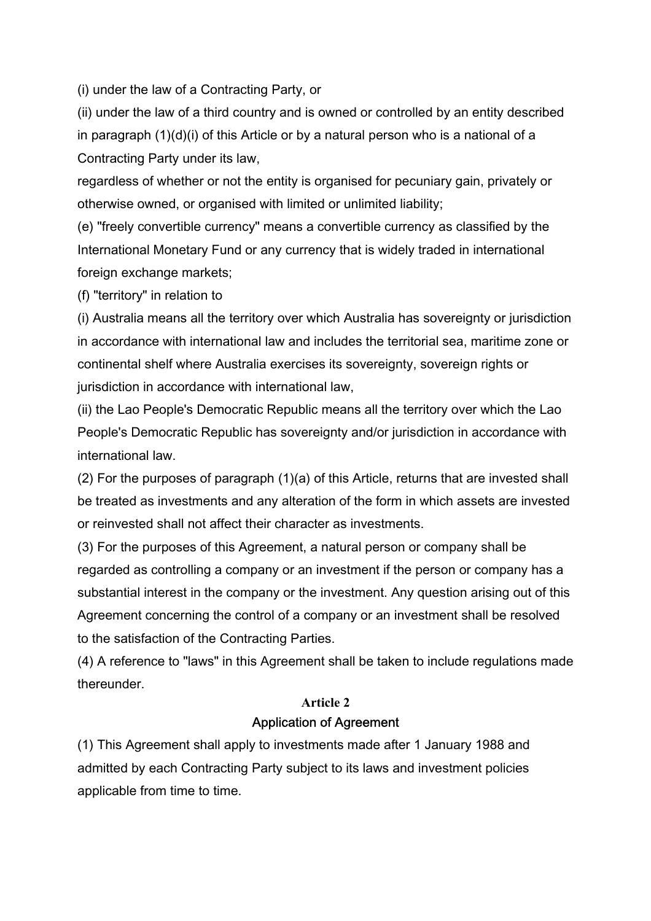(i) under the law of a Contracting Party, or

(ii) under the law of a third country and is owned or controlled by an entity described in paragraph (1)(d)(i) of this Article or by a natural person who is a national of a Contracting Party under its law,

regardless of whether or not the entity is organised for pecuniary gain, privately or otherwise owned, or organised with limited or unlimited liability;

(e) "freely convertible currency" means a convertible currency as classified by the International Monetary Fund or any currency that is widely traded in international foreign exchange markets;

(f) "territory" in relation to

(i) Australia means all the territory over which Australia has sovereignty or jurisdiction in accordance with international law and includes the territorial sea, maritime zone or continental shelf where Australia exercises its sovereignty, sovereign rights or jurisdiction in accordance with international law,

(ii) the Lao People's Democratic Republic means all the territory over which the Lao People's Democratic Republic has sovereignty and/or jurisdiction in accordance with international law.

(2) For the purposes of paragraph (1)(a) of this Article, returns that are invested shall be treated as investments and any alteration of the form in which assets are invested or reinvested shall not affect their character as investments.

(3) For the purposes of this Agreement, a natural person or company shall be regarded as controlling a company or an investment if the person or company has a substantial interest in the company or the investment. Any question arising out of this Agreement concerning the control of a company or an investment shall be resolved to the satisfaction of the Contracting Parties.

(4) A reference to "laws" in this Agreement shall be taken to include regulations made thereunder.

#### **Article 2**

#### Application of Agreement

(1) This Agreement shall apply to investments made after 1 January 1988 and admitted by each Contracting Party subject to its laws and investment policies applicable from time to time.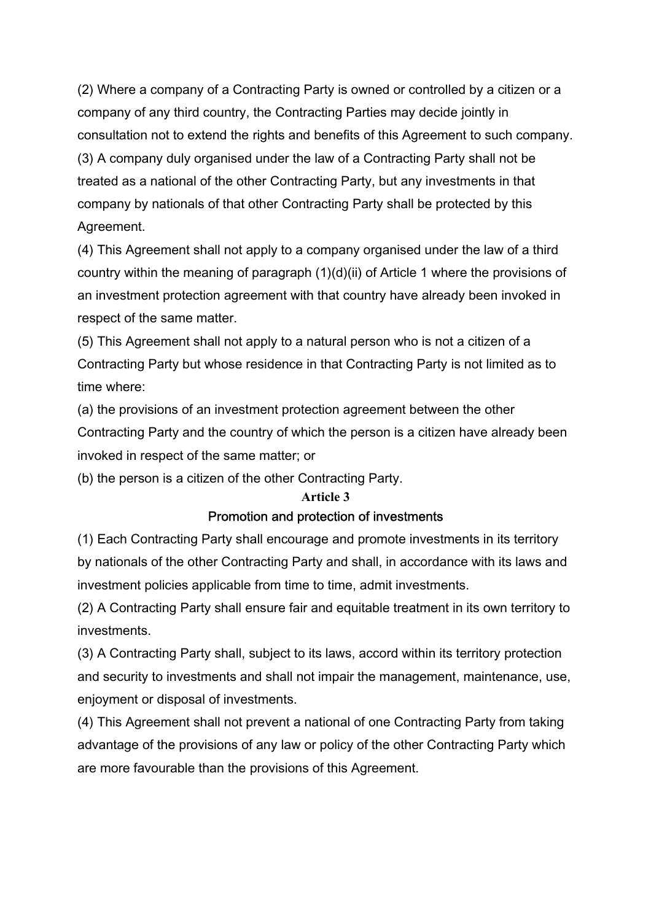(2) Where a company of a Contracting Party is owned or controlled by a citizen or a company of any third country, the Contracting Parties may decide jointly in consultation not to extend the rights and benefits of this Agreement to such company. (3) A company duly organised under the law of a Contracting Party shall not be treated as a national of the other Contracting Party, but any investments in that company by nationals of that other Contracting Party shall be protected by this Agreement.

(4) This Agreement shall not apply to a company organised under the law of a third country within the meaning of paragraph (1)(d)(ii) of Article 1 where the provisions of an investment protection agreement with that country have already been invoked in respect of the same matter.

(5) This Agreement shall not apply to a natural person who is not a citizen of a Contracting Party but whose residence in that Contracting Party is not limited as to time where:

(a) the provisions of an investment protection agreement between the other Contracting Party and the country of which the person is a citizen have already been invoked in respect of the same matter; or

(b) the person is a citizen of the other Contracting Party.

#### **Article 3**

# Promotion and protection of investments

(1) Each Contracting Party shall encourage and promote investments in its territory by nationals of the other Contracting Party and shall, in accordance with its laws and investment policies applicable from time to time, admit investments.

(2) A Contracting Party shall ensure fair and equitable treatment in its own territory to investments.

(3) A Contracting Party shall, subject to its laws, accord within its territory protection and security to investments and shall not impair the management, maintenance, use, enjoyment or disposal of investments.

(4) This Agreement shall not prevent a national of one Contracting Party from taking advantage of the provisions of any law or policy of the other Contracting Party which are more favourable than the provisions of this Agreement.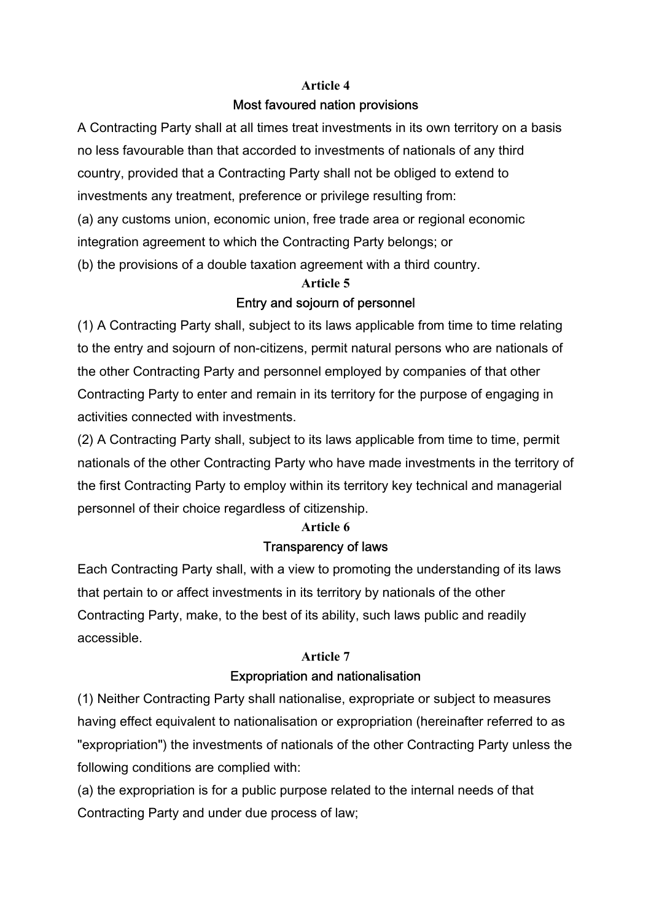#### **Article 4**

# Most favoured nation provisions

A Contracting Party shall at all times treat investments in its own territory on a basis no less favourable than that accorded to investments of nationals of any third country, provided that a Contracting Party shall not be obliged to extend to investments any treatment, preference or privilege resulting from: (a) any customs union, economic union, free trade area or regional economic integration agreement to which the Contracting Party belongs; or (b) the provisions of a double taxation agreement with a third country.

# **Article 5**  Entry and sojourn of personnel

(1) A Contracting Party shall, subject to its laws applicable from time to time relating to the entry and sojourn of non-citizens, permit natural persons who are nationals of the other Contracting Party and personnel employed by companies of that other Contracting Party to enter and remain in its territory for the purpose of engaging in activities connected with investments.

(2) A Contracting Party shall, subject to its laws applicable from time to time, permit nationals of the other Contracting Party who have made investments in the territory of the first Contracting Party to employ within its territory key technical and managerial personnel of their choice regardless of citizenship.

#### **Article 6**

#### Transparency of laws

Each Contracting Party shall, with a view to promoting the understanding of its laws that pertain to or affect investments in its territory by nationals of the other Contracting Party, make, to the best of its ability, such laws public and readily accessible.

#### **Article 7**

# Expropriation and nationalisation

(1) Neither Contracting Party shall nationalise, expropriate or subject to measures having effect equivalent to nationalisation or expropriation (hereinafter referred to as "expropriation") the investments of nationals of the other Contracting Party unless the following conditions are complied with:

(a) the expropriation is for a public purpose related to the internal needs of that Contracting Party and under due process of law;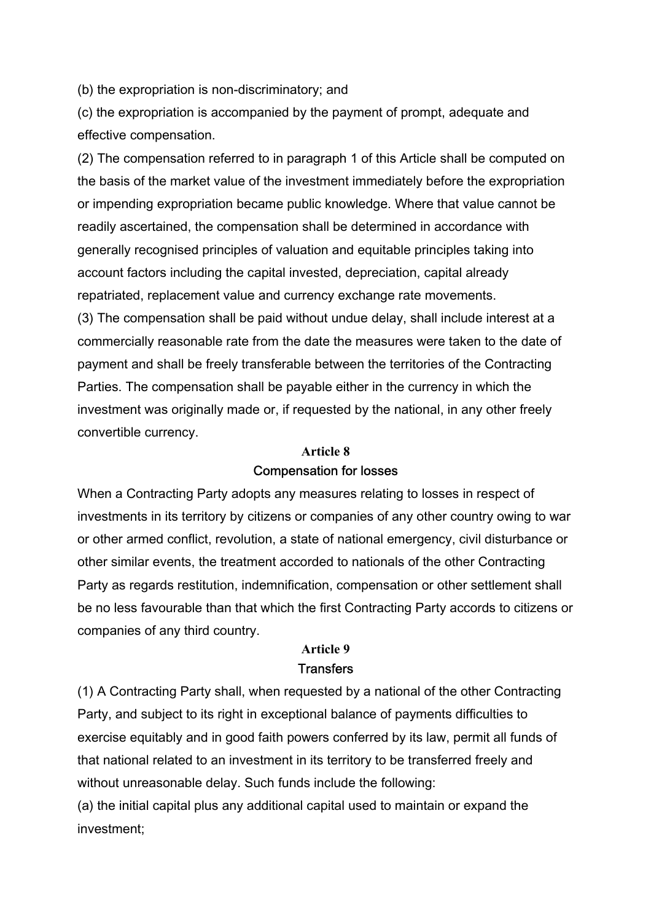(b) the expropriation is non-discriminatory; and

(c) the expropriation is accompanied by the payment of prompt, adequate and effective compensation.

(2) The compensation referred to in paragraph 1 of this Article shall be computed on the basis of the market value of the investment immediately before the expropriation or impending expropriation became public knowledge. Where that value cannot be readily ascertained, the compensation shall be determined in accordance with generally recognised principles of valuation and equitable principles taking into account factors including the capital invested, depreciation, capital already repatriated, replacement value and currency exchange rate movements.

(3) The compensation shall be paid without undue delay, shall include interest at a commercially reasonable rate from the date the measures were taken to the date of payment and shall be freely transferable between the territories of the Contracting Parties. The compensation shall be payable either in the currency in which the investment was originally made or, if requested by the national, in any other freely convertible currency.

# **Article 8**  Compensation for losses

When a Contracting Party adopts any measures relating to losses in respect of investments in its territory by citizens or companies of any other country owing to war or other armed conflict, revolution, a state of national emergency, civil disturbance or other similar events, the treatment accorded to nationals of the other Contracting Party as regards restitution, indemnification, compensation or other settlement shall be no less favourable than that which the first Contracting Party accords to citizens or companies of any third country.

#### **Article 9 Transfers**

(1) A Contracting Party shall, when requested by a national of the other Contracting Party, and subject to its right in exceptional balance of payments difficulties to exercise equitably and in good faith powers conferred by its law, permit all funds of that national related to an investment in its territory to be transferred freely and without unreasonable delay. Such funds include the following:

(a) the initial capital plus any additional capital used to maintain or expand the investment;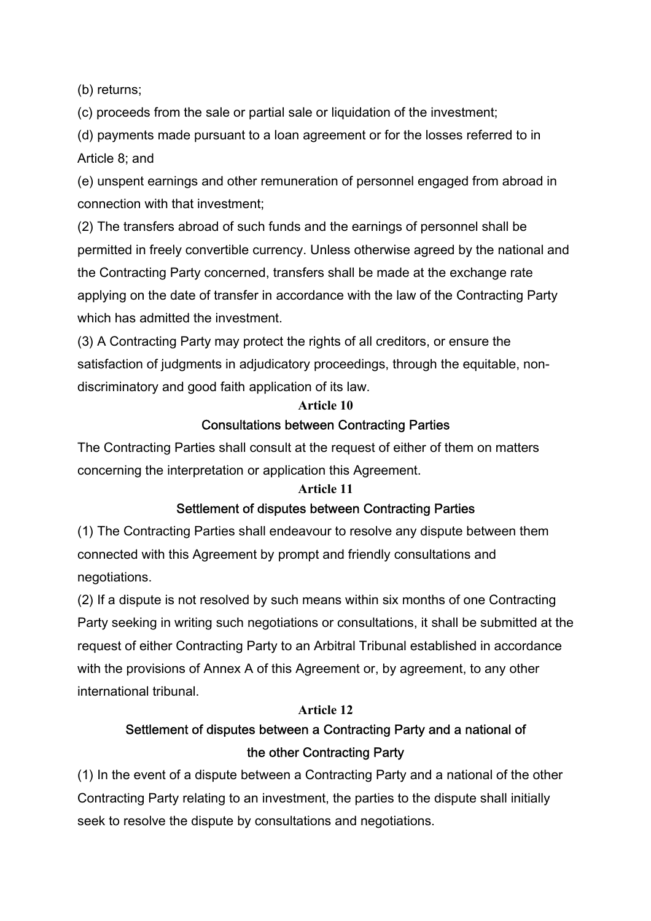(b) returns;

(c) proceeds from the sale or partial sale or liquidation of the investment;

(d) payments made pursuant to a loan agreement or for the losses referred to in Article 8; and

(e) unspent earnings and other remuneration of personnel engaged from abroad in connection with that investment;

(2) The transfers abroad of such funds and the earnings of personnel shall be permitted in freely convertible currency. Unless otherwise agreed by the national and the Contracting Party concerned, transfers shall be made at the exchange rate applying on the date of transfer in accordance with the law of the Contracting Party which has admitted the investment.

(3) A Contracting Party may protect the rights of all creditors, or ensure the satisfaction of judgments in adjudicatory proceedings, through the equitable, nondiscriminatory and good faith application of its law.

# **Article 10**  Consultations between Contracting Parties

The Contracting Parties shall consult at the request of either of them on matters concerning the interpretation or application this Agreement.

#### **Article 11**

# Settlement of disputes between Contracting Parties

(1) The Contracting Parties shall endeavour to resolve any dispute between them connected with this Agreement by prompt and friendly consultations and negotiations.

(2) If a dispute is not resolved by such means within six months of one Contracting Party seeking in writing such negotiations or consultations, it shall be submitted at the request of either Contracting Party to an Arbitral Tribunal established in accordance with the provisions of Annex A of this Agreement or, by agreement, to any other international tribunal.

#### **Article 12**

# Settlement of disputes between a Contracting Party and a national of the other Contracting Party

(1) In the event of a dispute between a Contracting Party and a national of the other Contracting Party relating to an investment, the parties to the dispute shall initially seek to resolve the dispute by consultations and negotiations.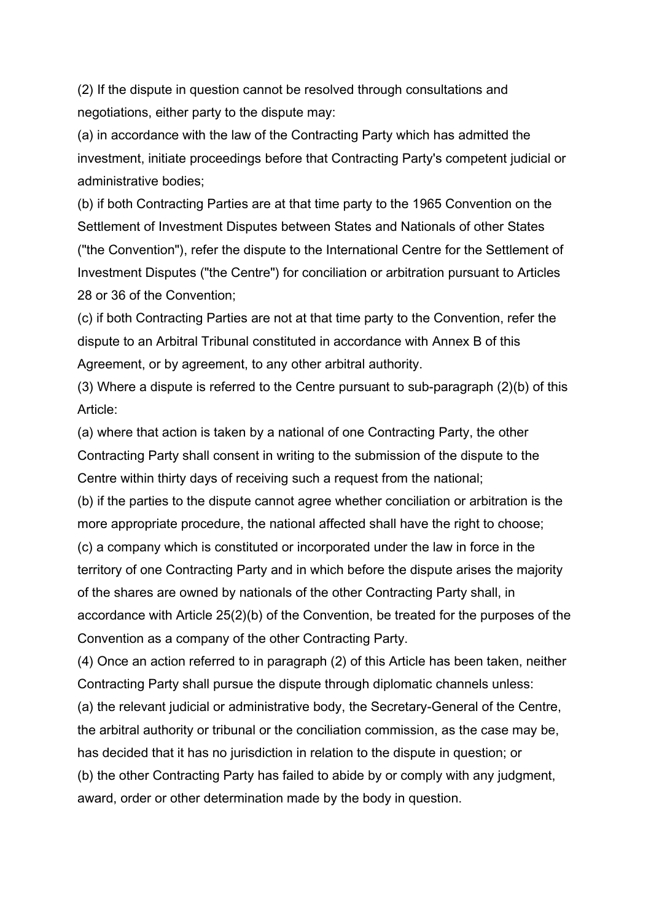(2) If the dispute in question cannot be resolved through consultations and negotiations, either party to the dispute may:

(a) in accordance with the law of the Contracting Party which has admitted the investment, initiate proceedings before that Contracting Party's competent judicial or administrative bodies;

(b) if both Contracting Parties are at that time party to the 1965 Convention on the Settlement of Investment Disputes between States and Nationals of other States ("the Convention"), refer the dispute to the International Centre for the Settlement of Investment Disputes ("the Centre") for conciliation or arbitration pursuant to Articles 28 or 36 of the Convention;

(c) if both Contracting Parties are not at that time party to the Convention, refer the dispute to an Arbitral Tribunal constituted in accordance with Annex B of this Agreement, or by agreement, to any other arbitral authority.

(3) Where a dispute is referred to the Centre pursuant to sub-paragraph (2)(b) of this Article:

(a) where that action is taken by a national of one Contracting Party, the other Contracting Party shall consent in writing to the submission of the dispute to the Centre within thirty days of receiving such a request from the national;

(b) if the parties to the dispute cannot agree whether conciliation or arbitration is the more appropriate procedure, the national affected shall have the right to choose; (c) a company which is constituted or incorporated under the law in force in the territory of one Contracting Party and in which before the dispute arises the majority of the shares are owned by nationals of the other Contracting Party shall, in accordance with Article 25(2)(b) of the Convention, be treated for the purposes of the Convention as a company of the other Contracting Party.

(4) Once an action referred to in paragraph (2) of this Article has been taken, neither Contracting Party shall pursue the dispute through diplomatic channels unless:

(a) the relevant judicial or administrative body, the Secretary-General of the Centre, the arbitral authority or tribunal or the conciliation commission, as the case may be, has decided that it has no jurisdiction in relation to the dispute in question; or

(b) the other Contracting Party has failed to abide by or comply with any judgment, award, order or other determination made by the body in question.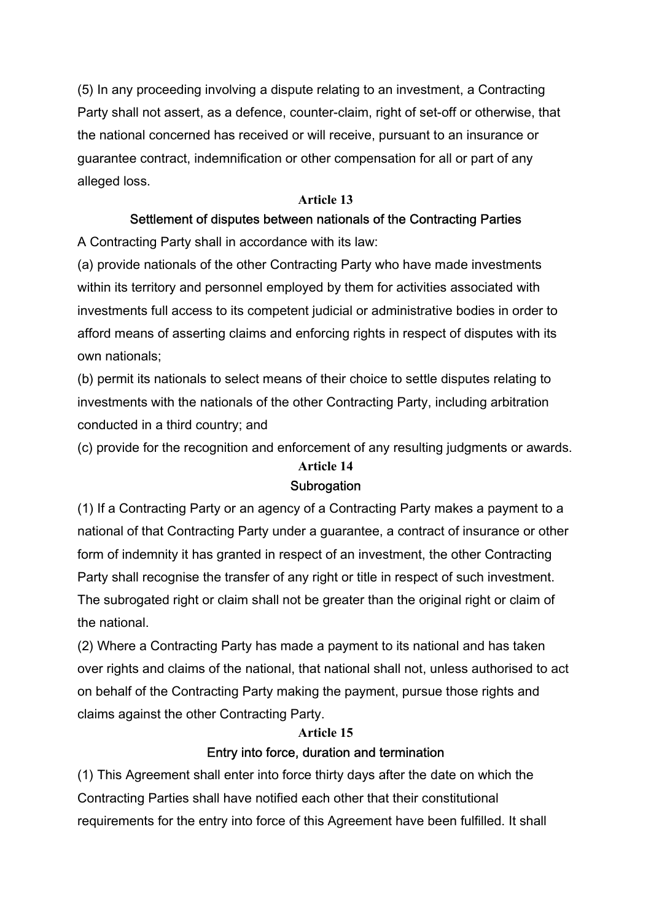(5) In any proceeding involving a dispute relating to an investment, a Contracting Party shall not assert, as a defence, counter-claim, right of set-off or otherwise, that the national concerned has received or will receive, pursuant to an insurance or guarantee contract, indemnification or other compensation for all or part of any alleged loss.

#### **Article 13**

### Settlement of disputes between nationals of the Contracting Parties

A Contracting Party shall in accordance with its law:

(a) provide nationals of the other Contracting Party who have made investments within its territory and personnel employed by them for activities associated with investments full access to its competent judicial or administrative bodies in order to afford means of asserting claims and enforcing rights in respect of disputes with its own nationals;

(b) permit its nationals to select means of their choice to settle disputes relating to investments with the nationals of the other Contracting Party, including arbitration conducted in a third country; and

(c) provide for the recognition and enforcement of any resulting judgments or awards.

#### **Article 14 Subrogation**

(1) If a Contracting Party or an agency of a Contracting Party makes a payment to a national of that Contracting Party under a guarantee, a contract of insurance or other form of indemnity it has granted in respect of an investment, the other Contracting Party shall recognise the transfer of any right or title in respect of such investment. The subrogated right or claim shall not be greater than the original right or claim of the national.

(2) Where a Contracting Party has made a payment to its national and has taken over rights and claims of the national, that national shall not, unless authorised to act on behalf of the Contracting Party making the payment, pursue those rights and claims against the other Contracting Party.

#### **Article 15**

#### Entry into force, duration and termination

(1) This Agreement shall enter into force thirty days after the date on which the Contracting Parties shall have notified each other that their constitutional requirements for the entry into force of this Agreement have been fulfilled. It shall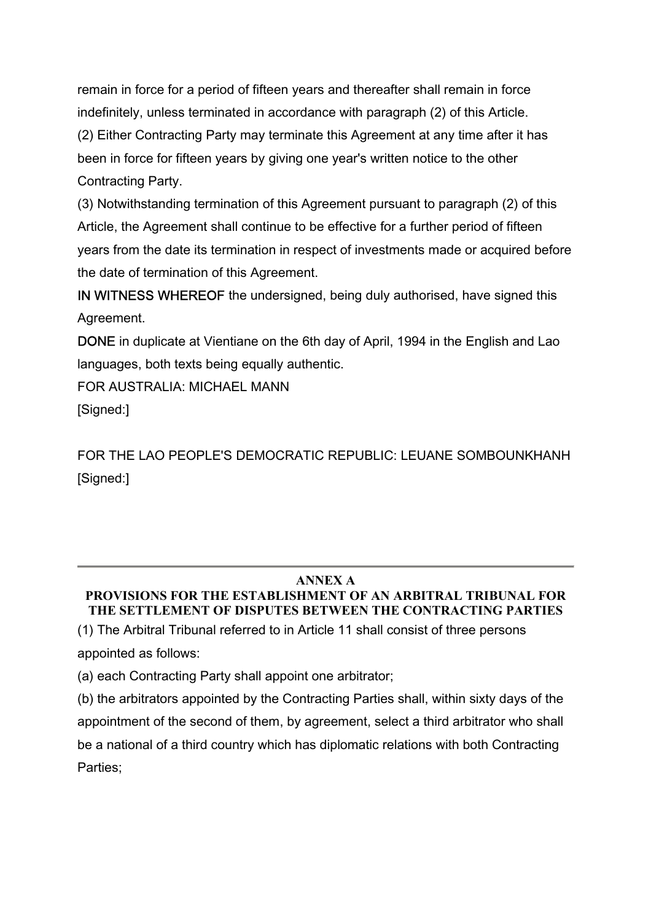remain in force for a period of fifteen years and thereafter shall remain in force indefinitely, unless terminated in accordance with paragraph (2) of this Article. (2) Either Contracting Party may terminate this Agreement at any time after it has been in force for fifteen years by giving one year's written notice to the other Contracting Party.

(3) Notwithstanding termination of this Agreement pursuant to paragraph (2) of this Article, the Agreement shall continue to be effective for a further period of fifteen years from the date its termination in respect of investments made or acquired before the date of termination of this Agreement.

IN WITNESS WHEREOF the undersigned, being duly authorised, have signed this Agreement.

DONE in duplicate at Vientiane on the 6th day of April, 1994 in the English and Lao languages, both texts being equally authentic.

FOR AUSTRALIA: MICHAEL MANN

[Signed:]

FOR THE LAO PEOPLE'S DEMOCRATIC REPUBLIC: LEUANE SOMBOUNKHANH [Signed:]

# **ANNEX A**

# **PROVISIONS FOR THE ESTABLISHMENT OF AN ARBITRAL TRIBUNAL FOR THE SETTLEMENT OF DISPUTES BETWEEN THE CONTRACTING PARTIES**

(1) The Arbitral Tribunal referred to in Article 11 shall consist of three persons appointed as follows:

(a) each Contracting Party shall appoint one arbitrator;

(b) the arbitrators appointed by the Contracting Parties shall, within sixty days of the appointment of the second of them, by agreement, select a third arbitrator who shall be a national of a third country which has diplomatic relations with both Contracting Parties;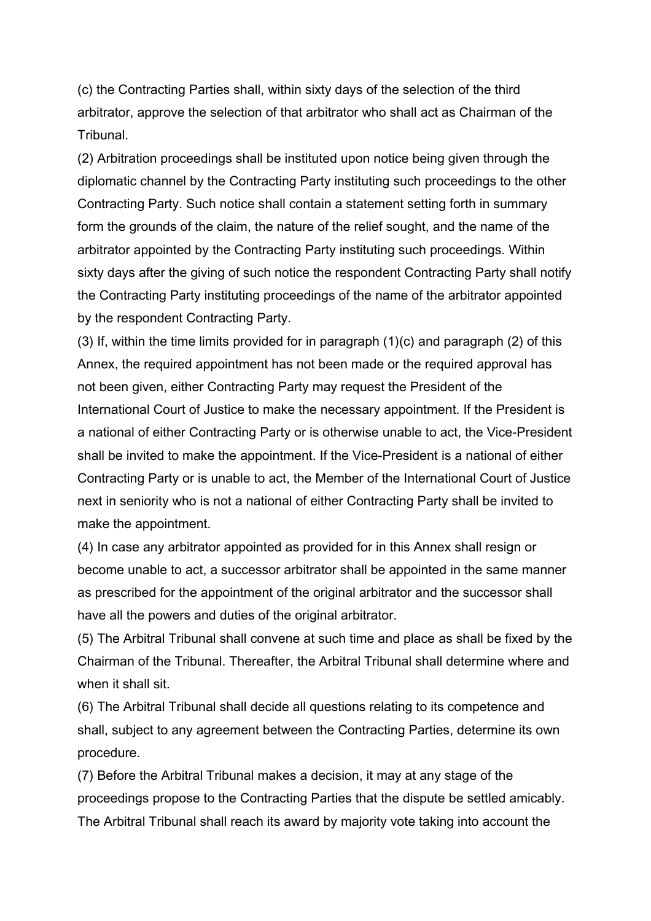(c) the Contracting Parties shall, within sixty days of the selection of the third arbitrator, approve the selection of that arbitrator who shall act as Chairman of the Tribunal.

(2) Arbitration proceedings shall be instituted upon notice being given through the diplomatic channel by the Contracting Party instituting such proceedings to the other Contracting Party. Such notice shall contain a statement setting forth in summary form the grounds of the claim, the nature of the relief sought, and the name of the arbitrator appointed by the Contracting Party instituting such proceedings. Within sixty days after the giving of such notice the respondent Contracting Party shall notify the Contracting Party instituting proceedings of the name of the arbitrator appointed by the respondent Contracting Party.

(3) If, within the time limits provided for in paragraph (1)(c) and paragraph (2) of this Annex, the required appointment has not been made or the required approval has not been given, either Contracting Party may request the President of the International Court of Justice to make the necessary appointment. If the President is a national of either Contracting Party or is otherwise unable to act, the Vice-President shall be invited to make the appointment. If the Vice-President is a national of either Contracting Party or is unable to act, the Member of the International Court of Justice next in seniority who is not a national of either Contracting Party shall be invited to make the appointment.

(4) In case any arbitrator appointed as provided for in this Annex shall resign or become unable to act, a successor arbitrator shall be appointed in the same manner as prescribed for the appointment of the original arbitrator and the successor shall have all the powers and duties of the original arbitrator.

(5) The Arbitral Tribunal shall convene at such time and place as shall be fixed by the Chairman of the Tribunal. Thereafter, the Arbitral Tribunal shall determine where and when it shall sit.

(6) The Arbitral Tribunal shall decide all questions relating to its competence and shall, subject to any agreement between the Contracting Parties, determine its own procedure.

(7) Before the Arbitral Tribunal makes a decision, it may at any stage of the proceedings propose to the Contracting Parties that the dispute be settled amicably. The Arbitral Tribunal shall reach its award by majority vote taking into account the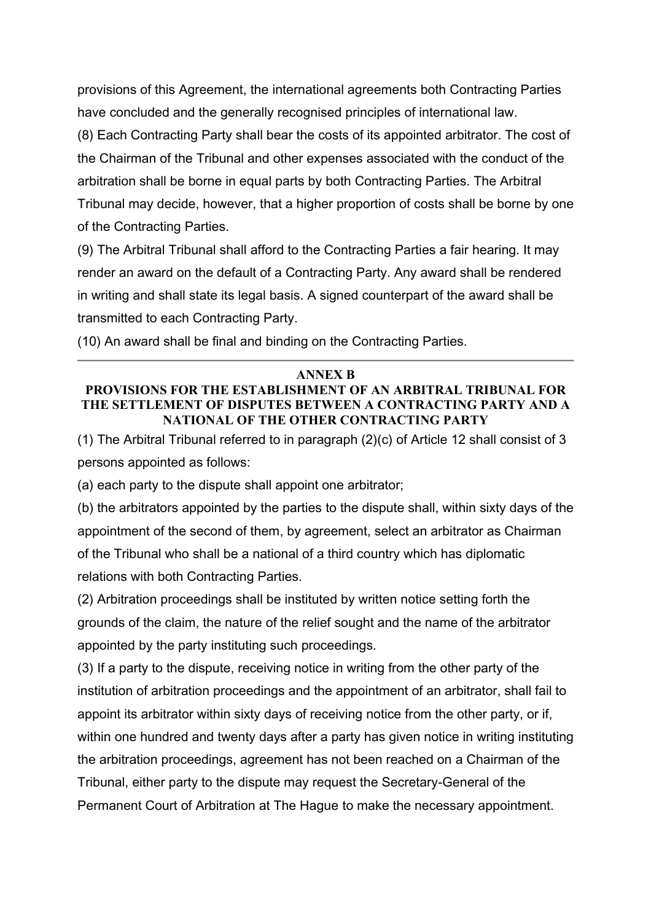provisions of this Agreement, the international agreements both Contracting Parties have concluded and the generally recognised principles of international law.

(8) Each Contracting Party shall bear the costs of its appointed arbitrator. The cost of the Chairman of the Tribunal and other expenses associated with the conduct of the arbitration shall be borne in equal parts by both Contracting Parties. The Arbitral Tribunal may decide, however, that a higher proportion of costs shall be borne by one of the Contracting Parties.

(9) The Arbitral Tribunal shall afford to the Contracting Parties a fair hearing. It may render an award on the default of a Contracting Party. Any award shall be rendered in writing and shall state its legal basis. A signed counterpart of the award shall be transmitted to each Contracting Party.

(10) An award shall be final and binding on the Contracting Parties.

#### **ANNEX B**

#### **PROVISIONS FOR THE ESTABLISHMENT OF AN ARBITRAL TRIBUNAL FOR THE SETTLEMENT OF DISPUTES BETWEEN A CONTRACTING PARTY AND A NATIONAL OF THE OTHER CONTRACTING PARTY**

(1) The Arbitral Tribunal referred to in paragraph (2)(c) of Article 12 shall consist of 3 persons appointed as follows:

(a) each party to the dispute shall appoint one arbitrator;

(b) the arbitrators appointed by the parties to the dispute shall, within sixty days of the appointment of the second of them, by agreement, select an arbitrator as Chairman of the Tribunal who shall be a national of a third country which has diplomatic relations with both Contracting Parties.

(2) Arbitration proceedings shall be instituted by written notice setting forth the grounds of the claim, the nature of the relief sought and the name of the arbitrator appointed by the party instituting such proceedings.

(3) If a party to the dispute, receiving notice in writing from the other party of the institution of arbitration proceedings and the appointment of an arbitrator, shall fail to appoint its arbitrator within sixty days of receiving notice from the other party, or if, within one hundred and twenty days after a party has given notice in writing instituting the arbitration proceedings, agreement has not been reached on a Chairman of the Tribunal, either party to the dispute may request the Secretary-General of the Permanent Court of Arbitration at The Hague to make the necessary appointment.